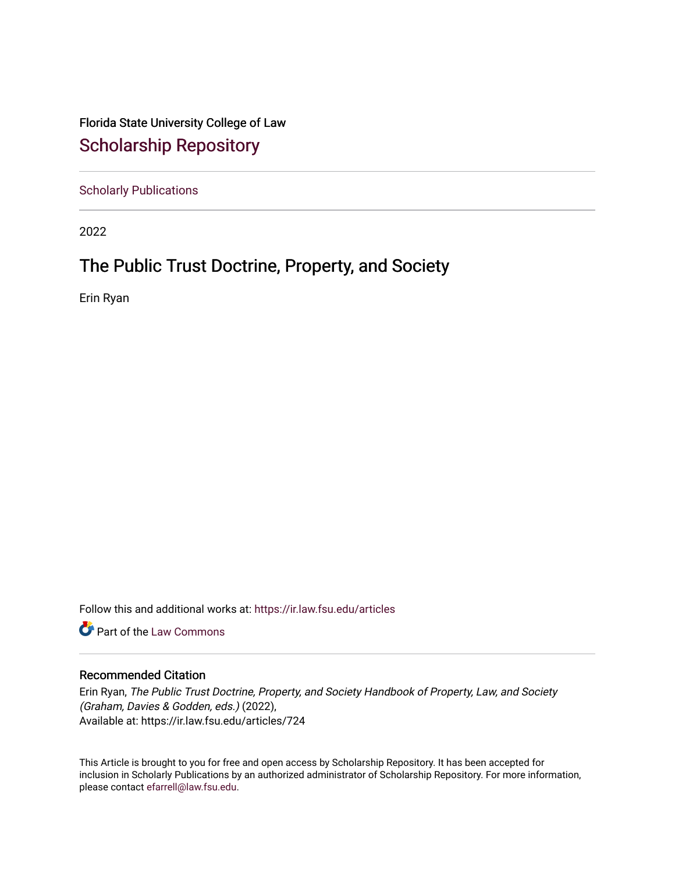Florida State University College of Law [Scholarship Repository](https://ir.law.fsu.edu/) 

[Scholarly Publications](https://ir.law.fsu.edu/articles) 

2022

## The Public Trust Doctrine, Property, and Society

Erin Ryan

Follow this and additional works at: [https://ir.law.fsu.edu/articles](https://ir.law.fsu.edu/articles?utm_source=ir.law.fsu.edu%2Farticles%2F724&utm_medium=PDF&utm_campaign=PDFCoverPages) 

**Part of the [Law Commons](https://network.bepress.com/hgg/discipline/578?utm_source=ir.law.fsu.edu%2Farticles%2F724&utm_medium=PDF&utm_campaign=PDFCoverPages)** 

#### Recommended Citation

Erin Ryan, The Public Trust Doctrine, Property, and Society Handbook of Property, Law, and Society (Graham, Davies & Godden, eds.) (2022), Available at: https://ir.law.fsu.edu/articles/724

This Article is brought to you for free and open access by Scholarship Repository. It has been accepted for inclusion in Scholarly Publications by an authorized administrator of Scholarship Repository. For more information, please contact [efarrell@law.fsu.edu.](mailto:efarrell@law.fsu.edu)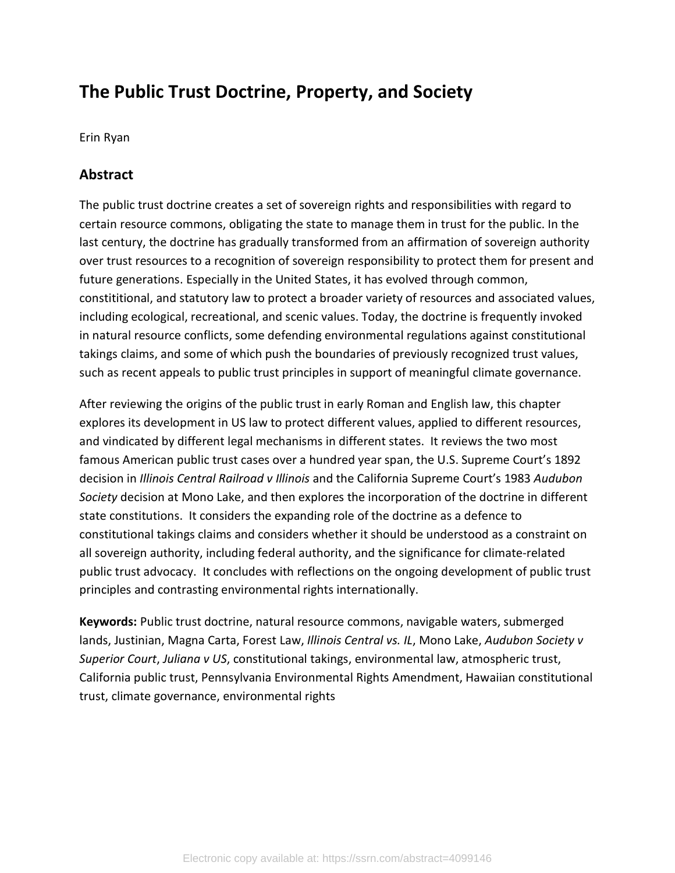# **The Public Trust Doctrine, Property, and Society**

Erin Ryan

## **Abstract**

The public trust doctrine creates a set of sovereign rights and responsibilities with regard to certain resource commons, obligating the state to manage them in trust for the public. In the last century, the doctrine has gradually transformed from an affirmation of sovereign authority over trust resources to a recognition of sovereign responsibility to protect them for present and future generations. Especially in the United States, it has evolved through common, constititional, and statutory law to protect a broader variety of resources and associated values, including ecological, recreational, and scenic values. Today, the doctrine is frequently invoked in natural resource conflicts, some defending environmental regulations against constitutional takings claims, and some of which push the boundaries of previously recognized trust values, such as recent appeals to public trust principles in support of meaningful climate governance.

After reviewing the origins of the public trust in early Roman and English law, this chapter explores its development in US law to protect different values, applied to different resources, and vindicated by different legal mechanisms in different states. It reviews the two most famous American public trust cases over a hundred year span, the U.S. Supreme Court's 1892 decision in *Illinois Central Railroad v Illinois* and the California Supreme Court's 1983 *Audubon Society* decision at Mono Lake, and then explores the incorporation of the doctrine in different state constitutions. It considers the expanding role of the doctrine as a defence to constitutional takings claims and considers whether it should be understood as a constraint on all sovereign authority, including federal authority, and the significance for climate-related public trust advocacy. It concludes with reflections on the ongoing development of public trust principles and contrasting environmental rights internationally.

**Keywords:** Public trust doctrine, natural resource commons, navigable waters, submerged lands, Justinian, Magna Carta, Forest Law, *Illinois Central vs. IL*, Mono Lake, *Audubon Society v Superior Court*, *Juliana v US*, constitutional takings, environmental law, atmospheric trust, California public trust, Pennsylvania Environmental Rights Amendment, Hawaiian constitutional trust, climate governance, environmental rights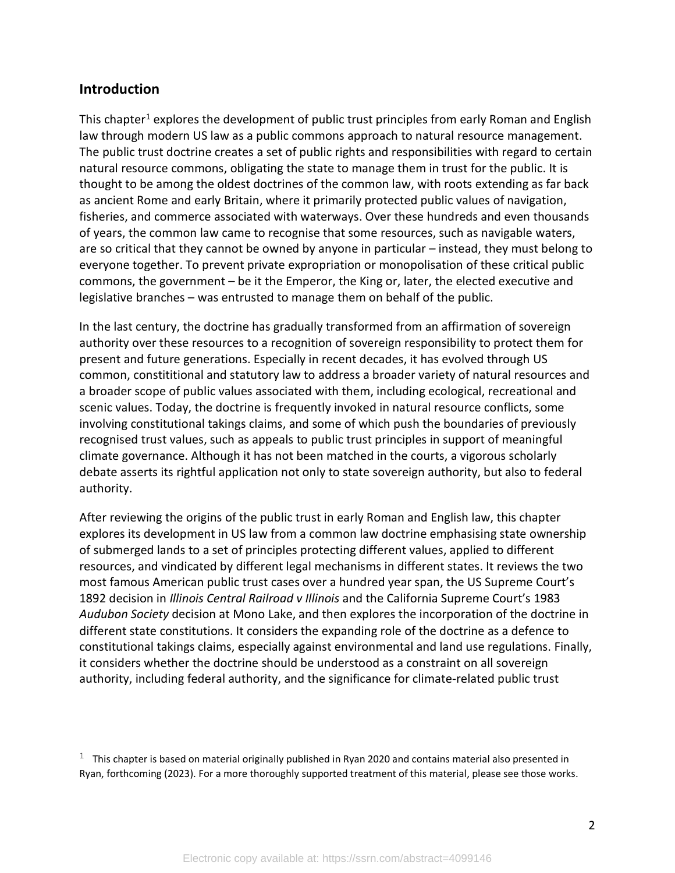## **Introduction**

This chapter<sup>1</sup> explores the development of public trust principles from early Roman and English law through modern US law as a public commons approach to natural resource management. The public trust doctrine creates a set of public rights and responsibilities with regard to certain natural resource commons, obligating the state to manage them in trust for the public. It is thought to be among the oldest doctrines of the common law, with roots extending as far back as ancient Rome and early Britain, where it primarily protected public values of navigation, fisheries, and commerce associated with waterways. Over these hundreds and even thousands of years, the common law came to recognise that some resources, such as navigable waters, are so critical that they cannot be owned by anyone in particular – instead, they must belong to everyone together. To prevent private expropriation or monopolisation of these critical public commons, the government – be it the Emperor, the King or, later, the elected executive and legislative branches – was entrusted to manage them on behalf of the public.

In the last century, the doctrine has gradually transformed from an affirmation of sovereign authority over these resources to a recognition of sovereign responsibility to protect them for present and future generations. Especially in recent decades, it has evolved through US common, constititional and statutory law to address a broader variety of natural resources and a broader scope of public values associated with them, including ecological, recreational and scenic values. Today, the doctrine is frequently invoked in natural resource conflicts, some involving constitutional takings claims, and some of which push the boundaries of previously recognised trust values, such as appeals to public trust principles in support of meaningful climate governance. Although it has not been matched in the courts, a vigorous scholarly debate asserts its rightful application not only to state sovereign authority, but also to federal authority.

After reviewing the origins of the public trust in early Roman and English law, this chapter explores its development in US law from a common law doctrine emphasising state ownership of submerged lands to a set of principles protecting different values, applied to different resources, and vindicated by different legal mechanisms in different states. It reviews the two most famous American public trust cases over a hundred year span, the US Supreme Court's 1892 decision in *Illinois Central Railroad v Illinois* and the California Supreme Court's 1983 *Audubon Society* decision at Mono Lake, and then explores the incorporation of the doctrine in different state constitutions. It considers the expanding role of the doctrine as a defence to constitutional takings claims, especially against environmental and land use regulations. Finally, it considers whether the doctrine should be understood as a constraint on all sovereign authority, including federal authority, and the significance for climate-related public trust

<span id="page-2-0"></span> $1$  This chapter is based on material originally published in Ryan 2020 and contains material also presented in Ryan, forthcoming (2023). For a more thoroughly supported treatment of this material, please see those works.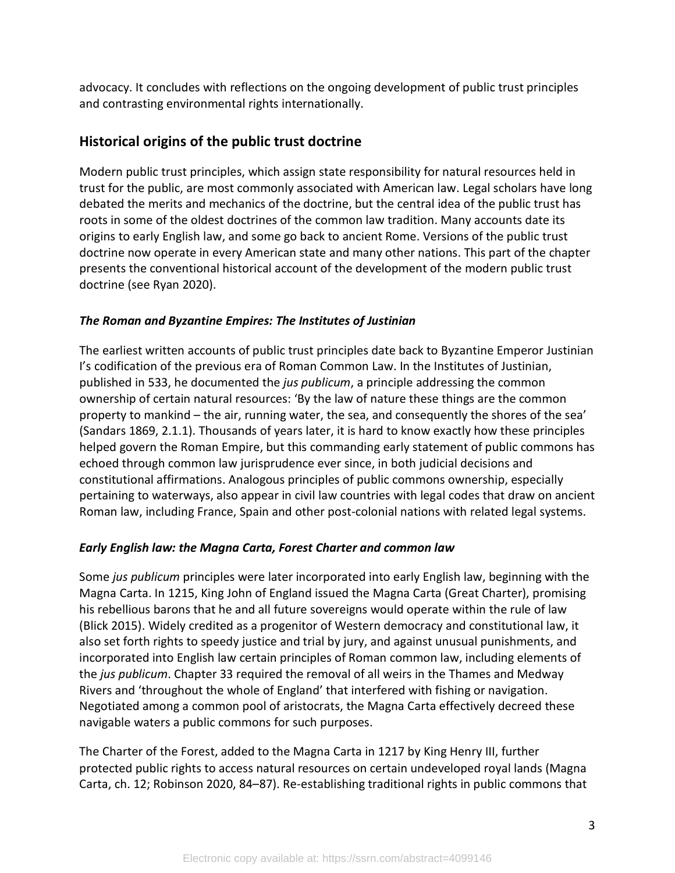advocacy. It concludes with reflections on the ongoing development of public trust principles and contrasting environmental rights internationally.

## **Historical origins of the public trust doctrine**

Modern public trust principles, which assign state responsibility for natural resources held in trust for the public, are most commonly associated with American law. Legal scholars have long debated the merits and mechanics of the doctrine, but the central idea of the public trust has roots in some of the oldest doctrines of the common law tradition. Many accounts date its origins to early English law, and some go back to ancient Rome. Versions of the public trust doctrine now operate in every American state and many other nations. This part of the chapter presents the conventional historical account of the development of the modern public trust doctrine (see Ryan 2020).

## *The Roman and Byzantine Empires: The Institutes of Justinian*

The earliest written accounts of public trust principles date back to Byzantine Emperor Justinian I's codification of the previous era of Roman Common Law. In the Institutes of Justinian, published in 533, he documented the *jus publicum*, a principle addressing the common ownership of certain natural resources: 'By the law of nature these things are the common property to mankind – the air, running water, the sea, and consequently the shores of the sea' (Sandars 1869, 2.1.1). Thousands of years later, it is hard to know exactly how these principles helped govern the Roman Empire, but this commanding early statement of public commons has echoed through common law jurisprudence ever since, in both judicial decisions and constitutional affirmations. Analogous principles of public commons ownership, especially pertaining to waterways, also appear in civil law countries with legal codes that draw on ancient Roman law, including France, Spain and other post-colonial nations with related legal systems.

### *Early English law: the Magna Carta, Forest Charter and common law*

Some *jus publicum* principles were later incorporated into early English law, beginning with the Magna Carta. In 1215, King John of England issued the Magna Carta (Great Charter), promising his rebellious barons that he and all future sovereigns would operate within the rule of law (Blick 2015). Widely credited as a progenitor of Western democracy and constitutional law, it also set forth rights to speedy justice and trial by jury, and against unusual punishments, and incorporated into English law certain principles of Roman common law, including elements of the *jus publicum*. Chapter 33 required the removal of all weirs in the Thames and Medway Rivers and 'throughout the whole of England' that interfered with fishing or navigation. Negotiated among a common pool of aristocrats, the Magna Carta effectively decreed these navigable waters a public commons for such purposes.

The Charter of the Forest, added to the Magna Carta in 1217 by King Henry III, further protected public rights to access natural resources on certain undeveloped royal lands (Magna Carta, ch. 12; Robinson 2020, 84–87). Re-establishing traditional rights in public commons that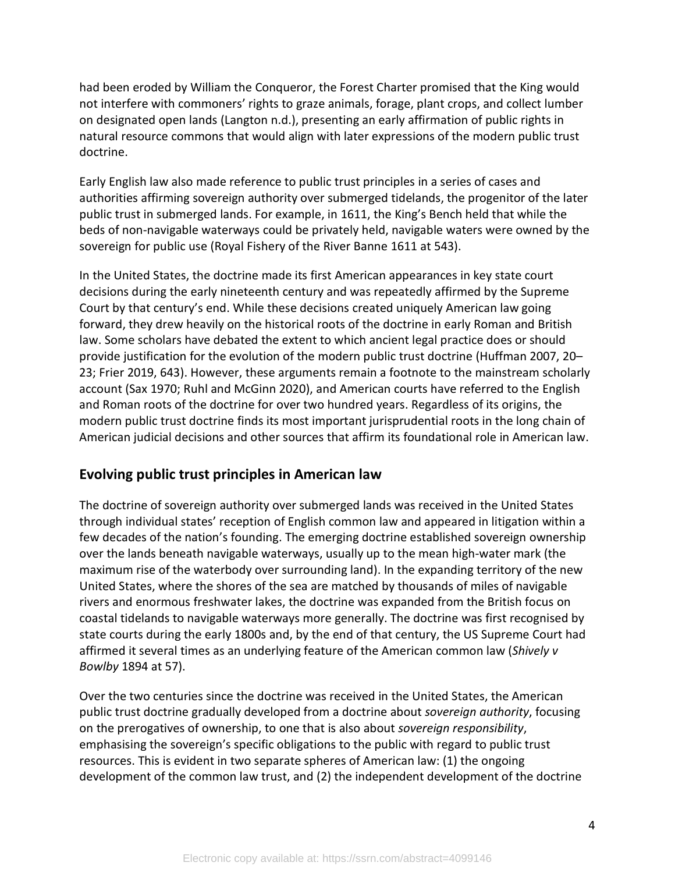had been eroded by William the Conqueror, the Forest Charter promised that the King would not interfere with commoners' rights to graze animals, forage, plant crops, and collect lumber on designated open lands (Langton n.d.), presenting an early affirmation of public rights in natural resource commons that would align with later expressions of the modern public trust doctrine.

Early English law also made reference to public trust principles in a series of cases and authorities affirming sovereign authority over submerged tidelands, the progenitor of the later public trust in submerged lands. For example, in 1611, the King's Bench held that while the beds of non-navigable waterways could be privately held, navigable waters were owned by the sovereign for public use (Royal Fishery of the River Banne 1611 at 543).

In the United States, the doctrine made its first American appearances in key state court decisions during the early nineteenth century and was repeatedly affirmed by the Supreme Court by that century's end. While these decisions created uniquely American law going forward, they drew heavily on the historical roots of the doctrine in early Roman and British law. Some scholars have debated the extent to which ancient legal practice does or should provide justification for the evolution of the modern public trust doctrine (Huffman 2007, 20– 23; Frier 2019, 643). However, these arguments remain a footnote to the mainstream scholarly account (Sax 1970; Ruhl and McGinn 2020), and American courts have referred to the English and Roman roots of the doctrine for over two hundred years. Regardless of its origins, the modern public trust doctrine finds its most important jurisprudential roots in the long chain of American judicial decisions and other sources that affirm its foundational role in American law.

## **Evolving public trust principles in American law**

The doctrine of sovereign authority over submerged lands was received in the United States through individual states' reception of English common law and appeared in litigation within a few decades of the nation's founding. The emerging doctrine established sovereign ownership over the lands beneath navigable waterways, usually up to the mean high-water mark (the maximum rise of the waterbody over surrounding land). In the expanding territory of the new United States, where the shores of the sea are matched by thousands of miles of navigable rivers and enormous freshwater lakes, the doctrine was expanded from the British focus on coastal tidelands to navigable waterways more generally. The doctrine was first recognised by state courts during the early 1800s and, by the end of that century, the US Supreme Court had affirmed it several times as an underlying feature of the American common law (*Shively v Bowlby* 1894 at 57).

Over the two centuries since the doctrine was received in the United States, the American public trust doctrine gradually developed from a doctrine about *sovereign authority*, focusing on the prerogatives of ownership, to one that is also about *sovereign responsibility*, emphasising the sovereign's specific obligations to the public with regard to public trust resources. This is evident in two separate spheres of American law: (1) the ongoing development of the common law trust, and (2) the independent development of the doctrine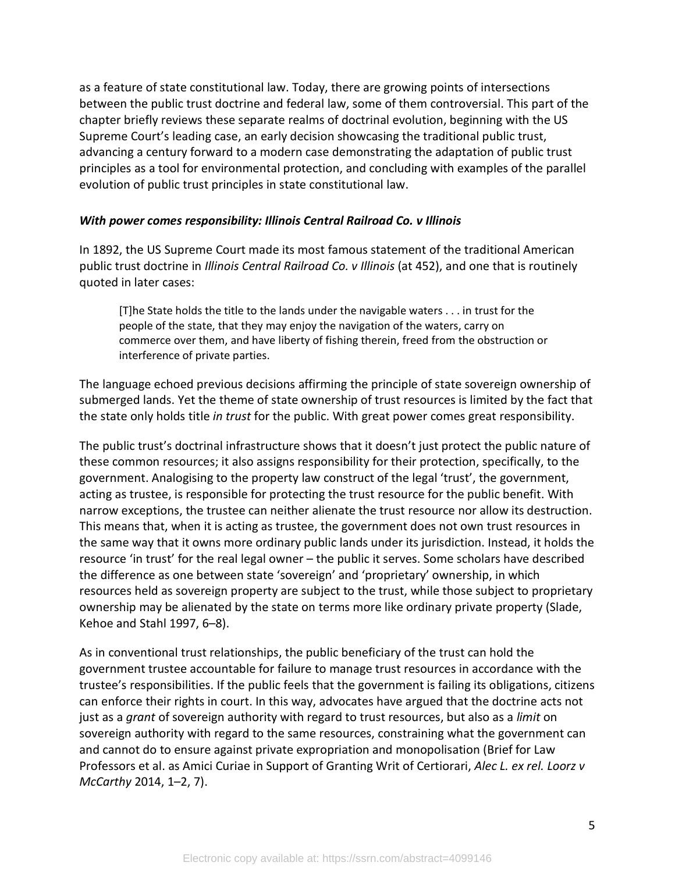as a feature of state constitutional law. Today, there are growing points of intersections between the public trust doctrine and federal law, some of them controversial. This part of the chapter briefly reviews these separate realms of doctrinal evolution, beginning with the US Supreme Court's leading case, an early decision showcasing the traditional public trust, advancing a century forward to a modern case demonstrating the adaptation of public trust principles as a tool for environmental protection, and concluding with examples of the parallel evolution of public trust principles in state constitutional law.

#### *With power comes responsibility: Illinois Central Railroad Co. v Illinois*

In 1892, the US Supreme Court made its most famous statement of the traditional American public trust doctrine in *Illinois Central Railroad Co. v Illinois* (at 452), and one that is routinely quoted in later cases:

[T]he State holds the title to the lands under the navigable waters . . . in trust for the people of the state, that they may enjoy the navigation of the waters, carry on commerce over them, and have liberty of fishing therein, freed from the obstruction or interference of private parties.

The language echoed previous decisions affirming the principle of state sovereign ownership of submerged lands. Yet the theme of state ownership of trust resources is limited by the fact that the state only holds title *in trust* for the public. With great power comes great responsibility.

The public trust's doctrinal infrastructure shows that it doesn't just protect the public nature of these common resources; it also assigns responsibility for their protection, specifically, to the government. Analogising to the property law construct of the legal 'trust', the government, acting as trustee, is responsible for protecting the trust resource for the public benefit. With narrow exceptions, the trustee can neither alienate the trust resource nor allow its destruction. This means that, when it is acting as trustee, the government does not own trust resources in the same way that it owns more ordinary public lands under its jurisdiction. Instead, it holds the resource 'in trust' for the real legal owner – the public it serves. Some scholars have described the difference as one between state 'sovereign' and 'proprietary' ownership, in which resources held as sovereign property are subject to the trust, while those subject to proprietary ownership may be alienated by the state on terms more like ordinary private property (Slade, Kehoe and Stahl 1997, 6–8).

As in conventional trust relationships, the public beneficiary of the trust can hold the government trustee accountable for failure to manage trust resources in accordance with the trustee's responsibilities. If the public feels that the government is failing its obligations, citizens can enforce their rights in court. In this way, advocates have argued that the doctrine acts not just as a *grant* of sovereign authority with regard to trust resources, but also as a *limit* on sovereign authority with regard to the same resources, constraining what the government can and cannot do to ensure against private expropriation and monopolisation (Brief for Law Professors et al. as Amici Curiae in Support of Granting Writ of Certiorari, *Alec L. ex rel. Loorz v McCarthy* 2014, 1–2, 7).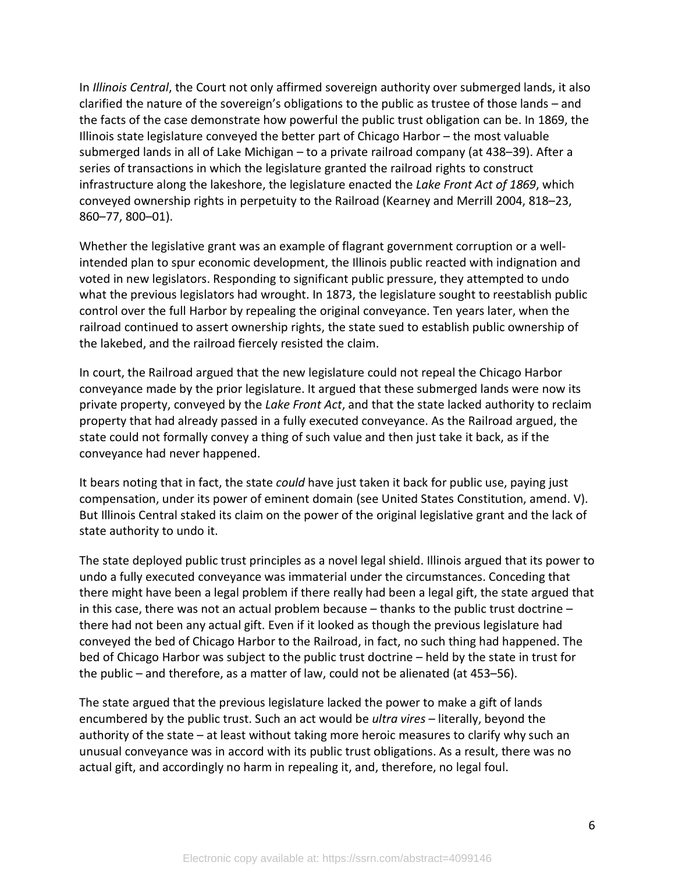In *Illinois Central*, the Court not only affirmed sovereign authority over submerged lands, it also clarified the nature of the sovereign's obligations to the public as trustee of those lands – and the facts of the case demonstrate how powerful the public trust obligation can be. In 1869, the Illinois state legislature conveyed the better part of Chicago Harbor – the most valuable submerged lands in all of Lake Michigan – to a private railroad company (at 438–39). After a series of transactions in which the legislature granted the railroad rights to construct infrastructure along the lakeshore, the legislature enacted the *Lake Front Act of 1869*, which conveyed ownership rights in perpetuity to the Railroad (Kearney and Merrill 2004, 818–23, 860–77, 800–01).

Whether the legislative grant was an example of flagrant government corruption or a wellintended plan to spur economic development, the Illinois public reacted with indignation and voted in new legislators. Responding to significant public pressure, they attempted to undo what the previous legislators had wrought. In 1873, the legislature sought to reestablish public control over the full Harbor by repealing the original conveyance. Ten years later, when the railroad continued to assert ownership rights, the state sued to establish public ownership of the lakebed, and the railroad fiercely resisted the claim.

In court, the Railroad argued that the new legislature could not repeal the Chicago Harbor conveyance made by the prior legislature. It argued that these submerged lands were now its private property, conveyed by the *Lake Front Act*, and that the state lacked authority to reclaim property that had already passed in a fully executed conveyance. As the Railroad argued, the state could not formally convey a thing of such value and then just take it back, as if the conveyance had never happened.

It bears noting that in fact, the state *could* have just taken it back for public use, paying just compensation, under its power of eminent domain (see United States Constitution, amend. V). But Illinois Central staked its claim on the power of the original legislative grant and the lack of state authority to undo it.

The state deployed public trust principles as a novel legal shield. Illinois argued that its power to undo a fully executed conveyance was immaterial under the circumstances. Conceding that there might have been a legal problem if there really had been a legal gift, the state argued that in this case, there was not an actual problem because – thanks to the public trust doctrine – there had not been any actual gift. Even if it looked as though the previous legislature had conveyed the bed of Chicago Harbor to the Railroad, in fact, no such thing had happened. The bed of Chicago Harbor was subject to the public trust doctrine – held by the state in trust for the public – and therefore, as a matter of law, could not be alienated (at 453–56).

The state argued that the previous legislature lacked the power to make a gift of lands encumbered by the public trust. Such an act would be *ultra vires* – literally, beyond the authority of the state – at least without taking more heroic measures to clarify why such an unusual conveyance was in accord with its public trust obligations. As a result, there was no actual gift, and accordingly no harm in repealing it, and, therefore, no legal foul.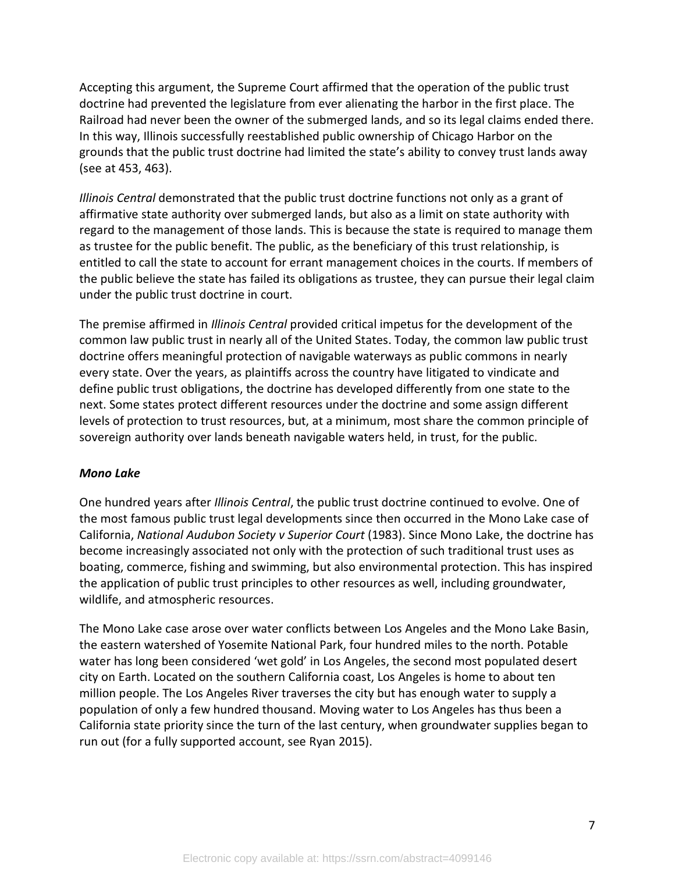Accepting this argument, the Supreme Court affirmed that the operation of the public trust doctrine had prevented the legislature from ever alienating the harbor in the first place. The Railroad had never been the owner of the submerged lands, and so its legal claims ended there. In this way, Illinois successfully reestablished public ownership of Chicago Harbor on the grounds that the public trust doctrine had limited the state's ability to convey trust lands away (see at 453, 463).

*Illinois Central* demonstrated that the public trust doctrine functions not only as a grant of affirmative state authority over submerged lands, but also as a limit on state authority with regard to the management of those lands. This is because the state is required to manage them as trustee for the public benefit. The public, as the beneficiary of this trust relationship, is entitled to call the state to account for errant management choices in the courts. If members of the public believe the state has failed its obligations as trustee, they can pursue their legal claim under the public trust doctrine in court.

The premise affirmed in *Illinois Central* provided critical impetus for the development of the common law public trust in nearly all of the United States. Today, the common law public trust doctrine offers meaningful protection of navigable waterways as public commons in nearly every state. Over the years, as plaintiffs across the country have litigated to vindicate and define public trust obligations, the doctrine has developed differently from one state to the next. Some states protect different resources under the doctrine and some assign different levels of protection to trust resources, but, at a minimum, most share the common principle of sovereign authority over lands beneath navigable waters held, in trust, for the public.

#### *Mono Lake*

One hundred years after *Illinois Central*, the public trust doctrine continued to evolve. One of the most famous public trust legal developments since then occurred in the Mono Lake case of California, *National Audubon Society v Superior Court* (1983). Since Mono Lake, the doctrine has become increasingly associated not only with the protection of such traditional trust uses as boating, commerce, fishing and swimming, but also environmental protection. This has inspired the application of public trust principles to other resources as well, including groundwater, wildlife, and atmospheric resources.

The Mono Lake case arose over water conflicts between Los Angeles and the Mono Lake Basin, the eastern watershed of Yosemite National Park, four hundred miles to the north. Potable water has long been considered 'wet gold' in Los Angeles, the second most populated desert city on Earth. Located on the southern California coast, Los Angeles is home to about ten million people. The Los Angeles River traverses the city but has enough water to supply a population of only a few hundred thousand. Moving water to Los Angeles has thus been a California state priority since the turn of the last century, when groundwater supplies began to run out (for a fully supported account, see Ryan 2015).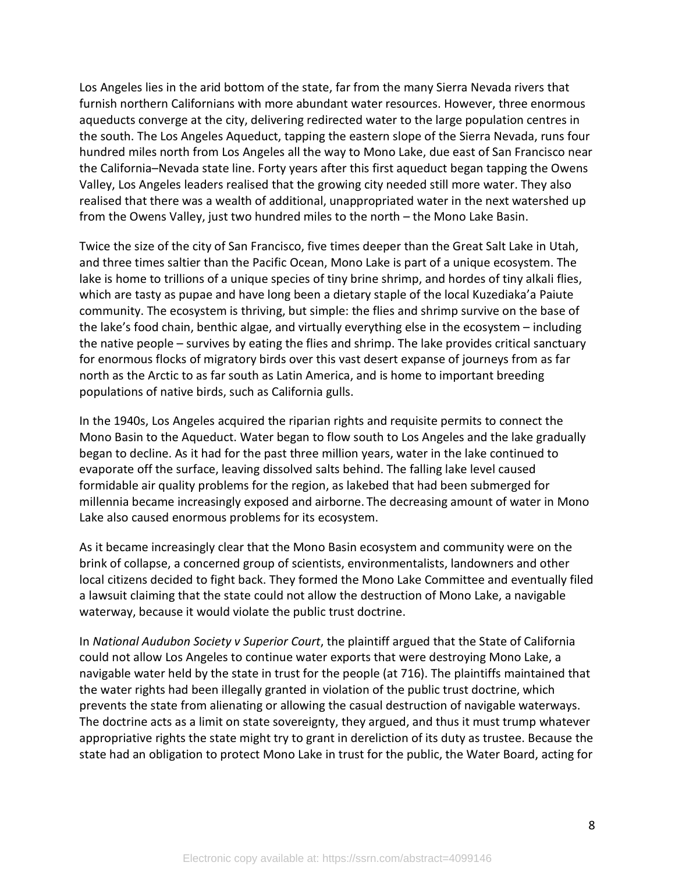Los Angeles lies in the arid bottom of the state, far from the many Sierra Nevada rivers that furnish northern Californians with more abundant water resources. However, three enormous aqueducts converge at the city, delivering redirected water to the large population centres in the south. The Los Angeles Aqueduct, tapping the eastern slope of the Sierra Nevada, runs four hundred miles north from Los Angeles all the way to Mono Lake, due east of San Francisco near the California–Nevada state line. Forty years after this first aqueduct began tapping the Owens Valley, Los Angeles leaders realised that the growing city needed still more water. They also realised that there was a wealth of additional, unappropriated water in the next watershed up from the Owens Valley, just two hundred miles to the north – the Mono Lake Basin.

Twice the size of the city of San Francisco, five times deeper than the Great Salt Lake in Utah, and three times saltier than the Pacific Ocean, Mono Lake is part of a unique ecosystem. The lake is home to trillions of a unique species of tiny brine shrimp, and hordes of tiny alkali flies, which are tasty as pupae and have long been a dietary staple of the local Kuzediaka'a Paiute community. The ecosystem is thriving, but simple: the flies and shrimp survive on the base of the lake's food chain, benthic algae, and virtually everything else in the ecosystem – including the native people – survives by eating the flies and shrimp. The lake provides critical sanctuary for enormous flocks of migratory birds over this vast desert expanse of journeys from as far north as the Arctic to as far south as Latin America, and is home to important breeding populations of native birds, such as California gulls.

In the 1940s, Los Angeles acquired the riparian rights and requisite permits to connect the Mono Basin to the Aqueduct. Water began to flow south to Los Angeles and the lake gradually began to decline. As it had for the past three million years, water in the lake continued to evaporate off the surface, leaving dissolved salts behind. The falling lake level caused formidable air quality problems for the region, as lakebed that had been submerged for millennia became increasingly exposed and airborne. The decreasing amount of water in Mono Lake also caused enormous problems for its ecosystem.

As it became increasingly clear that the Mono Basin ecosystem and community were on the brink of collapse, a concerned group of scientists, environmentalists, landowners and other local citizens decided to fight back. They formed the Mono Lake Committee and eventually filed a lawsuit claiming that the state could not allow the destruction of Mono Lake, a navigable waterway, because it would violate the public trust doctrine.

In *National Audubon Society v Superior Court*, the plaintiff argued that the State of California could not allow Los Angeles to continue water exports that were destroying Mono Lake, a navigable water held by the state in trust for the people (at 716). The plaintiffs maintained that the water rights had been illegally granted in violation of the public trust doctrine, which prevents the state from alienating or allowing the casual destruction of navigable waterways. The doctrine acts as a limit on state sovereignty, they argued, and thus it must trump whatever appropriative rights the state might try to grant in dereliction of its duty as trustee. Because the state had an obligation to protect Mono Lake in trust for the public, the Water Board, acting for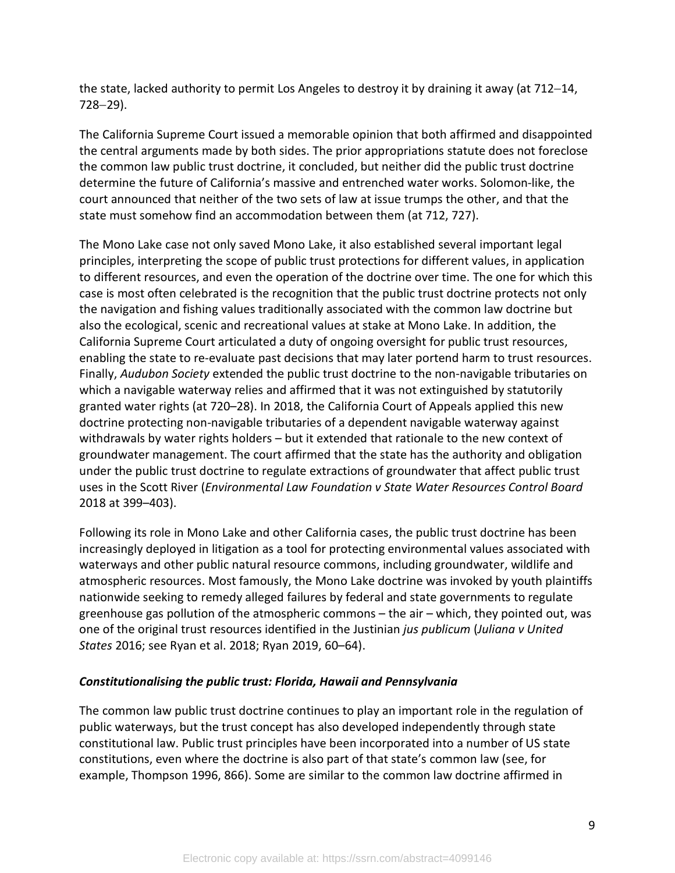the state, lacked authority to permit Los Angeles to destroy it by draining it away (at 712−14, 728−29).

The California Supreme Court issued a memorable opinion that both affirmed and disappointed the central arguments made by both sides. The prior appropriations statute does not foreclose the common law public trust doctrine, it concluded, but neither did the public trust doctrine determine the future of California's massive and entrenched water works. Solomon-like, the court announced that neither of the two sets of law at issue trumps the other, and that the state must somehow find an accommodation between them (at 712, 727).

The Mono Lake case not only saved Mono Lake, it also established several important legal principles, interpreting the scope of public trust protections for different values, in application to different resources, and even the operation of the doctrine over time. The one for which this case is most often celebrated is the recognition that the public trust doctrine protects not only the navigation and fishing values traditionally associated with the common law doctrine but also the ecological, scenic and recreational values at stake at Mono Lake. In addition, the California Supreme Court articulated a duty of ongoing oversight for public trust resources, enabling the state to re-evaluate past decisions that may later portend harm to trust resources. Finally, *Audubon Society* extended the public trust doctrine to the non-navigable tributaries on which a navigable waterway relies and affirmed that it was not extinguished by statutorily granted water rights (at 720–28). In 2018, the California Court of Appeals applied this new doctrine protecting non-navigable tributaries of a dependent navigable waterway against withdrawals by water rights holders – but it extended that rationale to the new context of groundwater management. The court affirmed that the state has the authority and obligation under the public trust doctrine to regulate extractions of groundwater that affect public trust uses in the Scott River (*Environmental Law Foundation v State Water Resources Control Board* 2018 at 399–403).

Following its role in Mono Lake and other California cases, the public trust doctrine has been increasingly deployed in litigation as a tool for protecting environmental values associated with waterways and other public natural resource commons, including groundwater, wildlife and atmospheric resources. Most famously, the Mono Lake doctrine was invoked by youth plaintiffs nationwide seeking to remedy alleged failures by federal and state governments to regulate greenhouse gas pollution of the atmospheric commons – the air – which, they pointed out, was one of the original trust resources identified in the Justinian *jus publicum* (*Juliana v United States* 2016; see Ryan et al. 2018; Ryan 2019, 60–64).

#### *Constitutionalising the public trust: Florida, Hawaii and Pennsylvania*

The common law public trust doctrine continues to play an important role in the regulation of public waterways, but the trust concept has also developed independently through state constitutional law. Public trust principles have been incorporated into a number of US state constitutions, even where the doctrine is also part of that state's common law (see, for example, Thompson 1996, 866). Some are similar to the common law doctrine affirmed in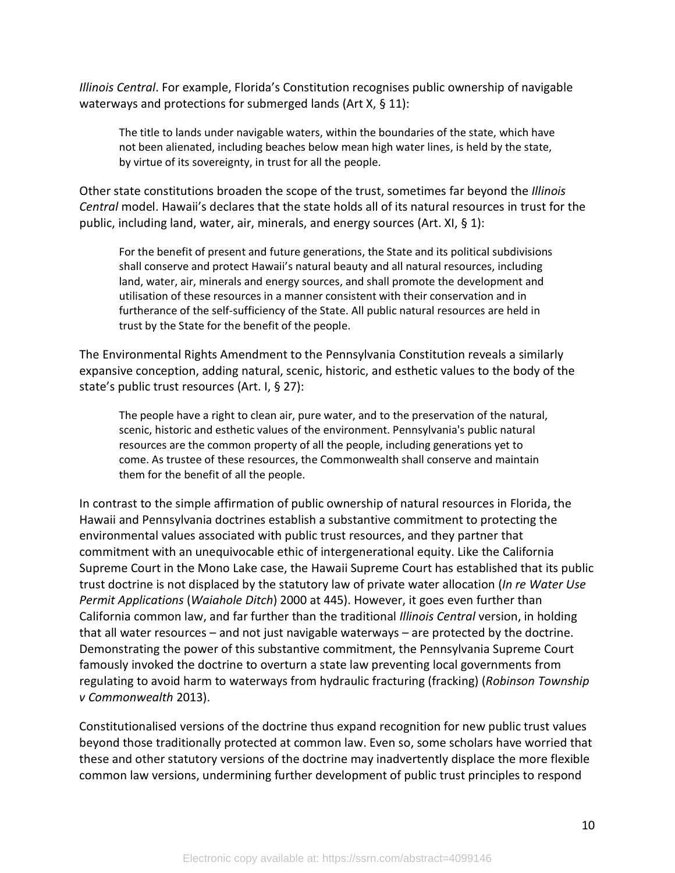*Illinois Central*. For example, Florida's Constitution recognises public ownership of navigable waterways and protections for submerged lands (Art X, § 11):

The title to lands under navigable waters, within the boundaries of the state, which have not been alienated, including beaches below mean high water lines, is held by the state, by virtue of its sovereignty, in trust for all the people.

Other state constitutions broaden the scope of the trust, sometimes far beyond the *Illinois Central* model. Hawaii's declares that the state holds all of its natural resources in trust for the public, including land, water, air, minerals, and energy sources (Art. XI,  $\S$  1):

For the benefit of present and future generations, the State and its political subdivisions shall conserve and protect Hawaii's natural beauty and all natural resources, including land, water, air, minerals and energy sources, and shall promote the development and utilisation of these resources in a manner consistent with their conservation and in furtherance of the self-sufficiency of the State. All public natural resources are held in trust by the State for the benefit of the people.

The Environmental Rights Amendment to the Pennsylvania Constitution reveals a similarly expansive conception, adding natural, scenic, historic, and esthetic values to the body of the state's public trust resources (Art. I, § 27):

The people have a right to clean air, pure water, and to the preservation of the natural, scenic, historic and esthetic values of the environment. Pennsylvania's public natural resources are the common property of all the people, including generations yet to come. As trustee of these resources, the Commonwealth shall conserve and maintain them for the benefit of all the people.

In contrast to the simple affirmation of public ownership of natural resources in Florida, the Hawaii and Pennsylvania doctrines establish a substantive commitment to protecting the environmental values associated with public trust resources, and they partner that commitment with an unequivocable ethic of intergenerational equity. Like the California Supreme Court in the Mono Lake case, the Hawaii Supreme Court has established that its public trust doctrine is not displaced by the statutory law of private water allocation (*In re Water Use Permit Applications* (*Waiahole Ditch*) 2000 at 445). However, it goes even further than California common law, and far further than the traditional *Illinois Central* version, in holding that all water resources – and not just navigable waterways – are protected by the doctrine. Demonstrating the power of this substantive commitment, the Pennsylvania Supreme Court famously invoked the doctrine to overturn a state law preventing local governments from regulating to avoid harm to waterways from hydraulic fracturing (fracking) (*Robinson Township v Commonwealth* 2013).

Constitutionalised versions of the doctrine thus expand recognition for new public trust values beyond those traditionally protected at common law. Even so, some scholars have worried that these and other statutory versions of the doctrine may inadvertently displace the more flexible common law versions, undermining further development of public trust principles to respond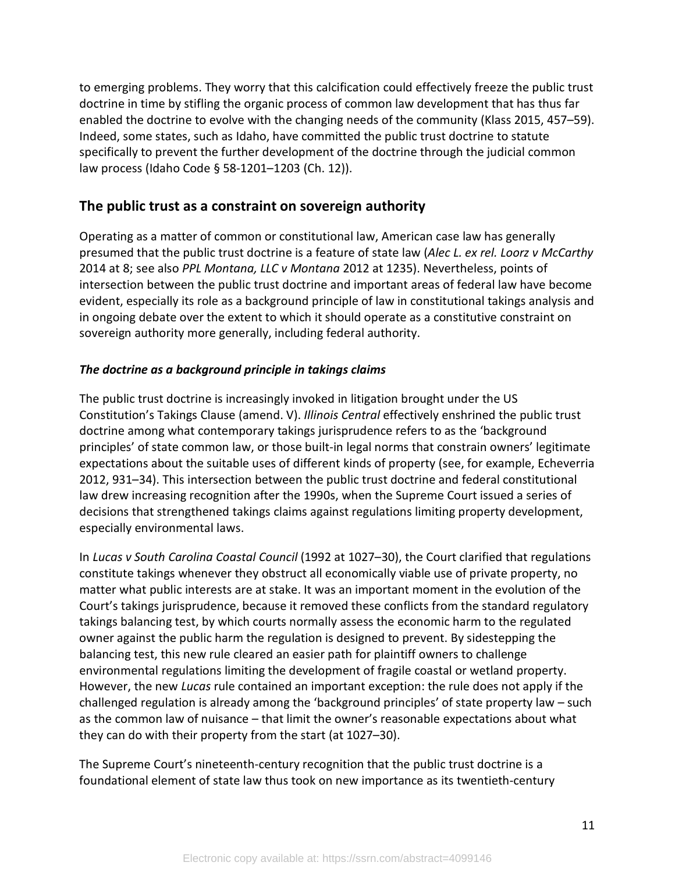to emerging problems. They worry that this calcification could effectively freeze the public trust doctrine in time by stifling the organic process of common law development that has thus far enabled the doctrine to evolve with the changing needs of the community (Klass 2015, 457–59). Indeed, some states, such as Idaho, have committed the public trust doctrine to statute specifically to prevent the further development of the doctrine through the judicial common law process (Idaho Code § 58-1201–1203 (Ch. 12)).

## **The public trust as a constraint on sovereign authority**

Operating as a matter of common or constitutional law, American case law has generally presumed that the public trust doctrine is a feature of state law (*Alec L. ex rel. Loorz v McCarthy* 2014 at 8; see also *PPL Montana, LLC v Montana* 2012 at 1235). Nevertheless, points of intersection between the public trust doctrine and important areas of federal law have become evident, especially its role as a background principle of law in constitutional takings analysis and in ongoing debate over the extent to which it should operate as a constitutive constraint on sovereign authority more generally, including federal authority.

#### *The doctrine as a background principle in takings claims*

The public trust doctrine is increasingly invoked in litigation brought under the US Constitution's Takings Clause (amend. V). *Illinois Central* effectively enshrined the public trust doctrine among what contemporary takings jurisprudence refers to as the 'background principles' of state common law, or those built-in legal norms that constrain owners' legitimate expectations about the suitable uses of different kinds of property (see, for example, Echeverria 2012, 931–34). This intersection between the public trust doctrine and federal constitutional law drew increasing recognition after the 1990s, when the Supreme Court issued a series of decisions that strengthened takings claims against regulations limiting property development, especially environmental laws.

In *Lucas v South Carolina Coastal Council* (1992 at 1027–30), the Court clarified that regulations constitute takings whenever they obstruct all economically viable use of private property, no matter what public interests are at stake. It was an important moment in the evolution of the Court's takings jurisprudence, because it removed these conflicts from the standard regulatory takings balancing test, by which courts normally assess the economic harm to the regulated owner against the public harm the regulation is designed to prevent. By sidestepping the balancing test, this new rule cleared an easier path for plaintiff owners to challenge environmental regulations limiting the development of fragile coastal or wetland property. However, the new *Lucas* rule contained an important exception: the rule does not apply if the challenged regulation is already among the 'background principles' of state property law – such as the common law of nuisance – that limit the owner's reasonable expectations about what they can do with their property from the start (at 1027–30).

The Supreme Court's nineteenth-century recognition that the public trust doctrine is a foundational element of state law thus took on new importance as its twentieth-century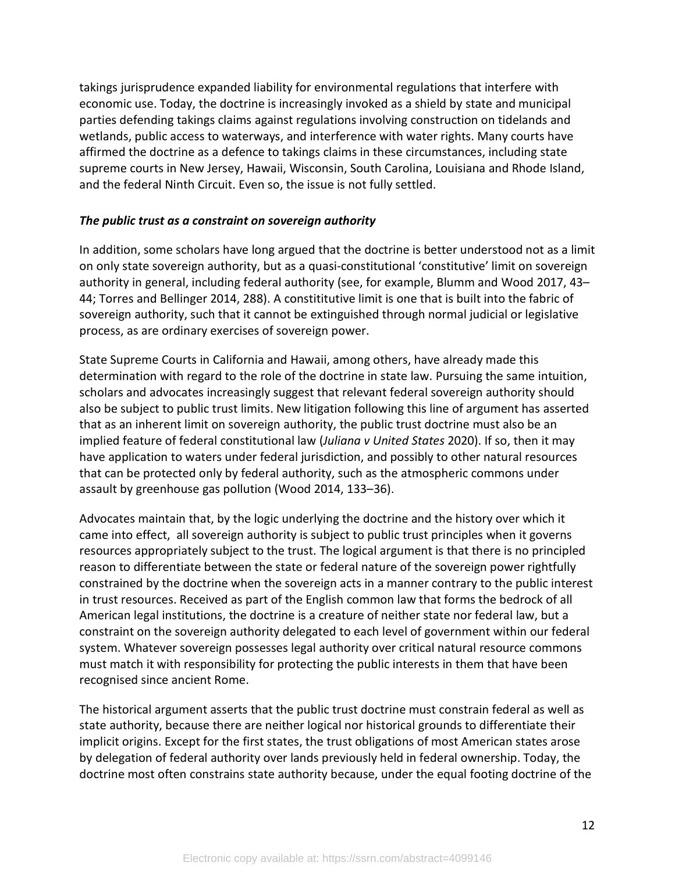takings jurisprudence expanded liability for environmental regulations that interfere with economic use. Today, the doctrine is increasingly invoked as a shield by state and municipal parties defending takings claims against regulations involving construction on tidelands and wetlands, public access to waterways, and interference with water rights. Many courts have affirmed the doctrine as a defence to takings claims in these circumstances, including state supreme courts in New Jersey, Hawaii, Wisconsin, South Carolina, Louisiana and Rhode Island, and the federal Ninth Circuit. Even so, the issue is not fully settled.

#### *The public trust as a constraint on sovereign authority*

In addition, some scholars have long argued that the doctrine is better understood not as a limit on only state sovereign authority, but as a quasi-constitutional 'constitutive' limit on sovereign authority in general, including federal authority (see, for example, Blumm and Wood 2017, 43– 44; Torres and Bellinger 2014, 288). A constititutive limit is one that is built into the fabric of sovereign authority, such that it cannot be extinguished through normal judicial or legislative process, as are ordinary exercises of sovereign power.

State Supreme Courts in California and Hawaii, among others, have already made this determination with regard to the role of the doctrine in state law. Pursuing the same intuition, scholars and advocates increasingly suggest that relevant federal sovereign authority should also be subject to public trust limits. New litigation following this line of argument has asserted that as an inherent limit on sovereign authority, the public trust doctrine must also be an implied feature of federal constitutional law (*Juliana v United States* 2020). If so, then it may have application to waters under federal jurisdiction, and possibly to other natural resources that can be protected only by federal authority, such as the atmospheric commons under assault by greenhouse gas pollution (Wood 2014, 133–36).

Advocates maintain that, by the logic underlying the doctrine and the history over which it came into effect, all sovereign authority is subject to public trust principles when it governs resources appropriately subject to the trust. The logical argument is that there is no principled reason to differentiate between the state or federal nature of the sovereign power rightfully constrained by the doctrine when the sovereign acts in a manner contrary to the public interest in trust resources. Received as part of the English common law that forms the bedrock of all American legal institutions, the doctrine is a creature of neither state nor federal law, but a constraint on the sovereign authority delegated to each level of government within our federal system. Whatever sovereign possesses legal authority over critical natural resource commons must match it with responsibility for protecting the public interests in them that have been recognised since ancient Rome.

The historical argument asserts that the public trust doctrine must constrain federal as well as state authority, because there are neither logical nor historical grounds to differentiate their implicit origins. Except for the first states, the trust obligations of most American states arose by delegation of federal authority over lands previously held in federal ownership. Today, the doctrine most often constrains state authority because, under the equal footing doctrine of the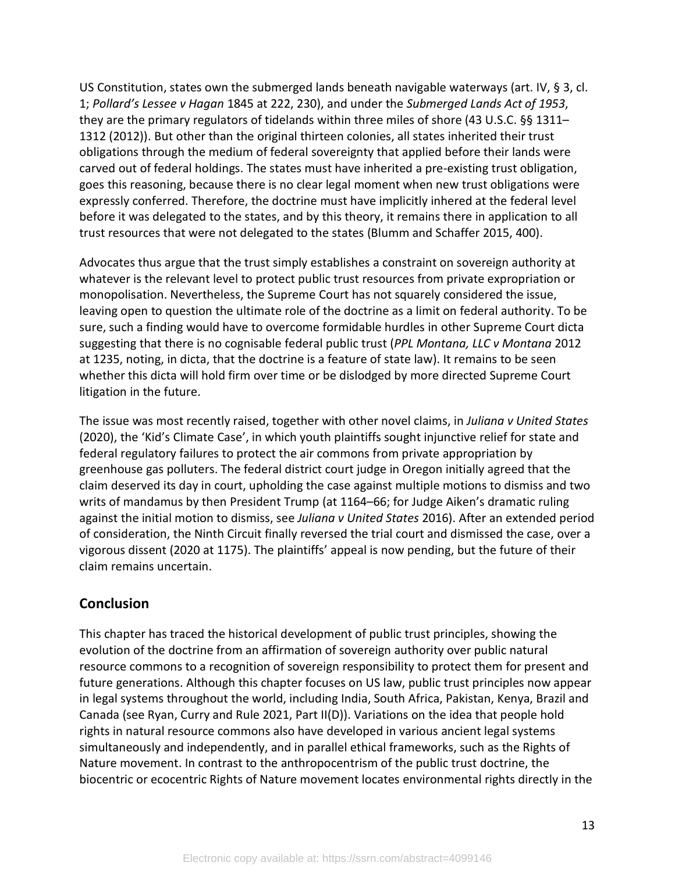US Constitution, states own the submerged lands beneath navigable waterways (art. IV, § 3, cl. 1; *Pollard's Lessee v Hagan* 1845 at 222, 230), and under the *Submerged Lands Act of 1953*, they are the primary regulators of tidelands within three miles of shore (43 U.S.C. §§ 1311– 1312 (2012)). But other than the original thirteen colonies, all states inherited their trust obligations through the medium of federal sovereignty that applied before their lands were carved out of federal holdings. The states must have inherited a pre-existing trust obligation, goes this reasoning, because there is no clear legal moment when new trust obligations were expressly conferred. Therefore, the doctrine must have implicitly inhered at the federal level before it was delegated to the states, and by this theory, it remains there in application to all trust resources that were not delegated to the states (Blumm and Schaffer 2015, 400).

Advocates thus argue that the trust simply establishes a constraint on sovereign authority at whatever is the relevant level to protect public trust resources from private expropriation or monopolisation. Nevertheless, the Supreme Court has not squarely considered the issue, leaving open to question the ultimate role of the doctrine as a limit on federal authority. To be sure, such a finding would have to overcome formidable hurdles in other Supreme Court dicta suggesting that there is no cognisable federal public trust (*PPL Montana, LLC v Montana* 2012 at 1235, noting, in dicta, that the doctrine is a feature of state law). It remains to be seen whether this dicta will hold firm over time or be dislodged by more directed Supreme Court litigation in the future.

The issue was most recently raised, together with other novel claims, in *Juliana v United States* (2020), the 'Kid's Climate Case', in which youth plaintiffs sought injunctive relief for state and federal regulatory failures to protect the air commons from private appropriation by greenhouse gas polluters. The federal district court judge in Oregon initially agreed that the claim deserved its day in court, upholding the case against multiple motions to dismiss and two writs of mandamus by then President Trump (at 1164–66; for Judge Aiken's dramatic ruling against the initial motion to dismiss, see *Juliana v United States* 2016). After an extended period of consideration, the Ninth Circuit finally reversed the trial court and dismissed the case, over a vigorous dissent (2020 at 1175). The plaintiffs' appeal is now pending, but the future of their claim remains uncertain.

## **Conclusion**

This chapter has traced the historical development of public trust principles, showing the evolution of the doctrine from an affirmation of sovereign authority over public natural resource commons to a recognition of sovereign responsibility to protect them for present and future generations. Although this chapter focuses on US law, public trust principles now appear in legal systems throughout the world, including India, South Africa, Pakistan, Kenya, Brazil and Canada (see Ryan, Curry and Rule 2021, Part II(D)). Variations on the idea that people hold rights in natural resource commons also have developed in various ancient legal systems simultaneously and independently, and in parallel ethical frameworks, such as the Rights of Nature movement. In contrast to the anthropocentrism of the public trust doctrine, the biocentric or ecocentric Rights of Nature movement locates environmental rights directly in the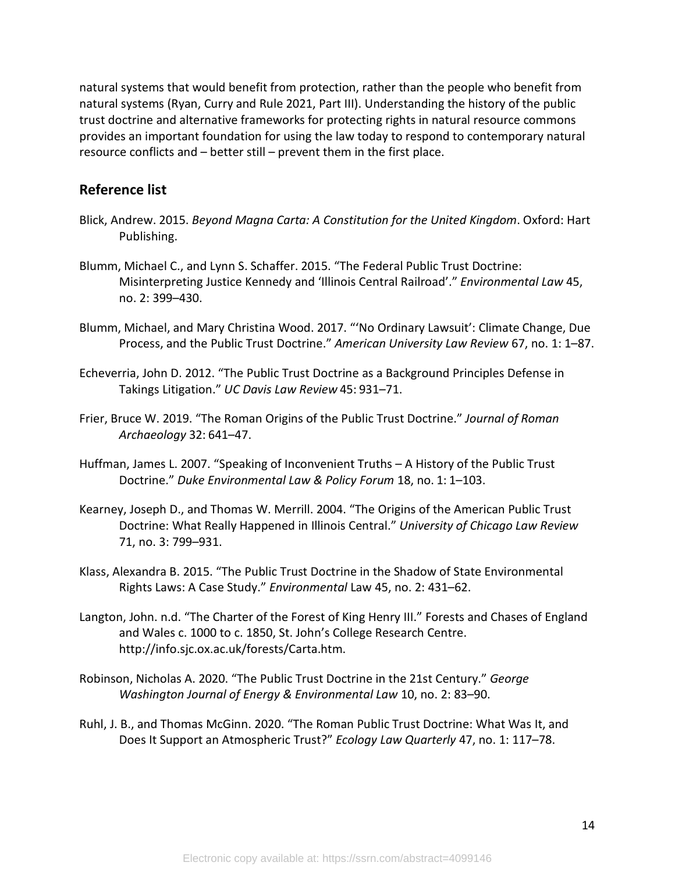natural systems that would benefit from protection, rather than the people who benefit from natural systems (Ryan, Curry and Rule 2021, Part III). Understanding the history of the public trust doctrine and alternative frameworks for protecting rights in natural resource commons provides an important foundation for using the law today to respond to contemporary natural resource conflicts and – better still – prevent them in the first place.

## **Reference list**

- Blick, Andrew. 2015. *Beyond Magna Carta: A Constitution for the United Kingdom*. Oxford: Hart Publishing.
- Blumm, Michael C., and Lynn S. Schaffer. 2015. "The Federal Public Trust Doctrine: Misinterpreting Justice Kennedy and 'Illinois Central Railroad'." *Environmental Law* 45, no. 2: 399–430.
- Blumm, Michael, and Mary Christina Wood. 2017. "'No Ordinary Lawsuit': Climate Change, Due Process, and the Public Trust Doctrine." *American University Law Review* 67, no. 1: 1–87.
- Echeverria, John D. 2012. "The Public Trust Doctrine as a Background Principles Defense in Takings Litigation." *UC Davis Law Review* 45: 931–71.
- Frier, Bruce W. 2019. "The Roman Origins of the Public Trust Doctrine." *Journal of Roman Archaeology* 32: 641–47.
- Huffman, James L. 2007. "Speaking of Inconvenient Truths A History of the Public Trust Doctrine." *Duke Environmental Law & Policy Forum* 18, no. 1: 1–103.
- Kearney, Joseph D., and Thomas W. Merrill. 2004. "The Origins of the American Public Trust Doctrine: What Really Happened in Illinois Central." *University of Chicago Law Review* 71, no. 3: 799–931.
- Klass, Alexandra B. 2015. "The Public Trust Doctrine in the Shadow of State Environmental Rights Laws: A Case Study." *Environmental* Law 45, no. 2: 431–62.
- Langton, John. n.d. "The Charter of the Forest of King Henry III." Forests and Chases of England and Wales c. 1000 to c. 1850, St. John's College Research Centre. http://info.sjc.ox.ac.uk/forests/Carta.htm.
- Robinson, Nicholas A. 2020. "The Public Trust Doctrine in the 21st Century." *George Washington Journal of Energy & Environmental Law* 10, no. 2: 83–90.
- Ruhl, J. B., and Thomas McGinn. 2020. "The Roman Public Trust Doctrine: What Was It, and Does It Support an Atmospheric Trust?" *Ecology Law Quarterly* 47, no. 1: 117–78.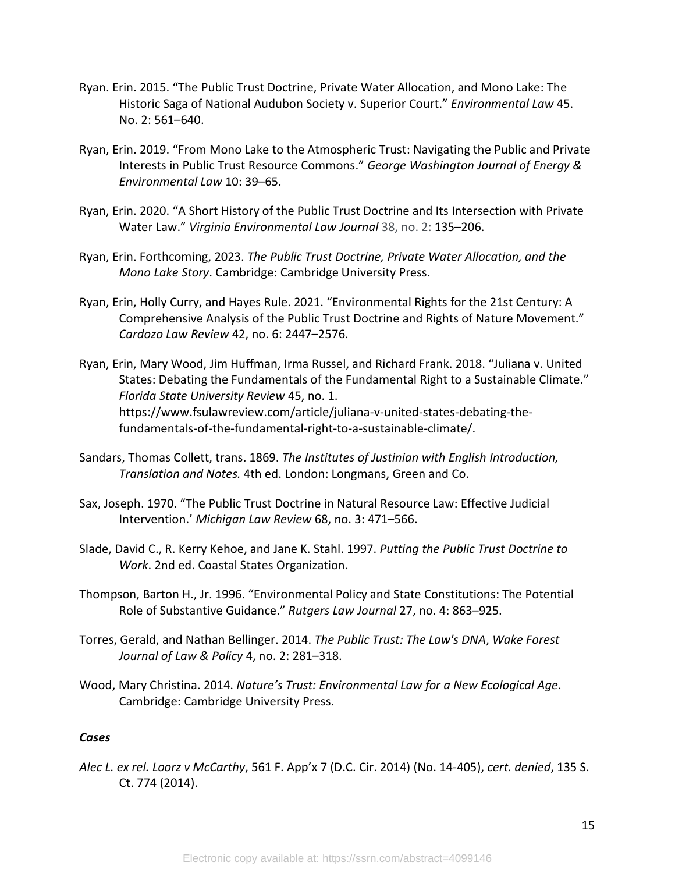- Ryan. Erin. 2015. "The Public Trust Doctrine, Private Water Allocation, and Mono Lake: The Historic Saga of National Audubon Society v. Superior Court." *Environmental Law* 45. No. 2: 561–640.
- Ryan, Erin. 2019. "From Mono Lake to the Atmospheric Trust: Navigating the Public and Private Interests in Public Trust Resource Commons." *George Washington Journal of Energy & Environmental Law* 10: 39–65.
- Ryan, Erin. 2020. "A Short History of the Public Trust Doctrine and Its Intersection with Private Water Law." *Virginia Environmental Law Journal* 38, no. 2: 135–206.
- Ryan, Erin. Forthcoming, 2023. *The Public Trust Doctrine, Private Water Allocation, and the Mono Lake Story*. Cambridge: Cambridge University Press.
- Ryan, Erin, Holly Curry, and Hayes Rule. 2021. "Environmental Rights for the 21st Century: A Comprehensive Analysis of the Public Trust Doctrine and Rights of Nature Movement." *Cardozo Law Review* 42, no. 6: 2447–2576.
- Ryan, Erin, Mary Wood, Jim Huffman, Irma Russel, and Richard Frank. 2018. "Juliana v. United States: Debating the Fundamentals of the Fundamental Right to a Sustainable Climate." *Florida State University Review* 45, no. 1. https://www.fsulawreview.com/article/juliana-v-united-states-debating-thefundamentals-of-the-fundamental-right-to-a-sustainable-climate/.
- Sandars, Thomas Collett, trans. 1869. *The Institutes of Justinian with English Introduction, Translation and Notes.* 4th ed. London: Longmans, Green and Co.
- Sax, Joseph. 1970. "The Public Trust Doctrine in Natural Resource Law: Effective Judicial Intervention.' *Michigan Law Review* 68, no. 3: 471–566.
- Slade, David C., R. Kerry Kehoe, and Jane K. Stahl. 1997. *Putting the Public Trust Doctrine to Work*. 2nd ed. Coastal States Organization.
- Thompson, Barton H., Jr. 1996. "Environmental Policy and State Constitutions: The Potential Role of Substantive Guidance." *Rutgers Law Journal* 27, no. 4: 863–925.
- Torres, Gerald, and Nathan Bellinger. 2014. *The Public Trust: The Law's DNA*, *Wake Forest Journal of Law & Policy* 4, no. 2: 281–318.
- Wood, Mary Christina. 2014. *Nature's Trust: Environmental Law for a New Ecological Age*. Cambridge: Cambridge University Press.

#### *Cases*

*Alec L. ex rel. Loorz v McCarthy*, 561 F. App'x 7 (D.C. Cir. 2014) (No. 14-405), *cert. denied*, 135 S. Ct. 774 (2014).